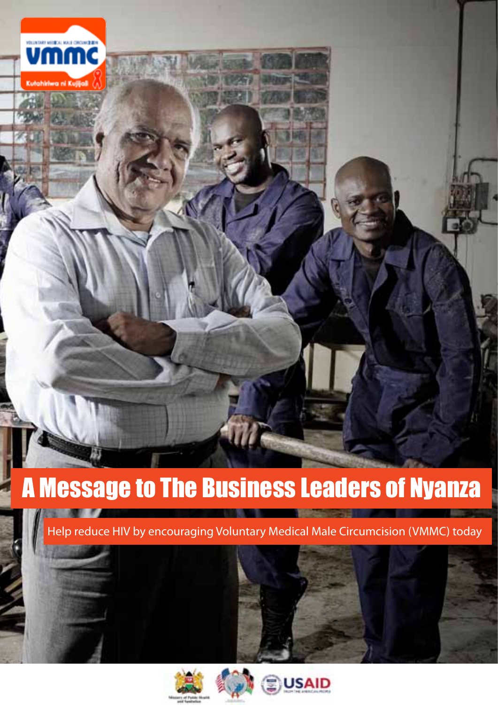

# A Message to The Business Leaders of Nyanza

Help reduce HIV by encouraging Voluntary Medical Male Circumcision (VMMC) today



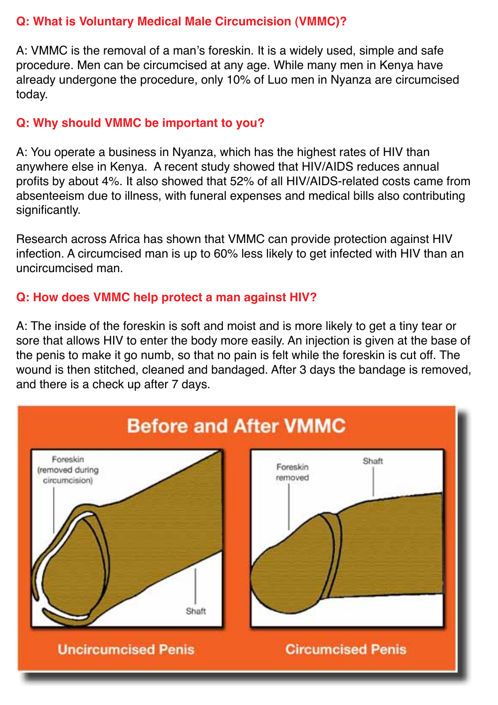### **Q: What is Voluntary Medical Male Circumcision (VMMC)?**

A: VMMC is the removal of a man's foreskin. It is a widely used, simple and safe procedure. Men can be circumcised at any age. While many men in Kenya have already undergone the procedure, only 10% of Luo men in Nyanza are circumcised today.

#### **Q: Why should VMMC be important to you?**

A: You operate a business in Nyanza, which has the highest rates of HIV than anywhere else in Kenya. A recent study showed that HIV/AIDS reduces annual profits by about 4%. It also showed that 52% of all HIV/AIDS-related costs came from absenteeism due to illness, with funeral expenses and medical bills also contributing significantly.

Research across Africa has shown that VMMC can provide protection against HIV infection. A circumcised man is up to 60% less likely to get infected with HIV than an uncircumcised man.

### **Q: How does VMMC help protect a man against HIV?**

A: The inside of the foreskin is soft and moist and is more likely to get a tiny tear or sore that allows HIV to enter the body more easily. An injection is given at the base of the penis to make it go numb, so that no pain is felt while the foreskin is cut off. The wound is then stitched, cleaned and bandaged. After 3 days the bandage is removed, and there is a check up after 7 days.

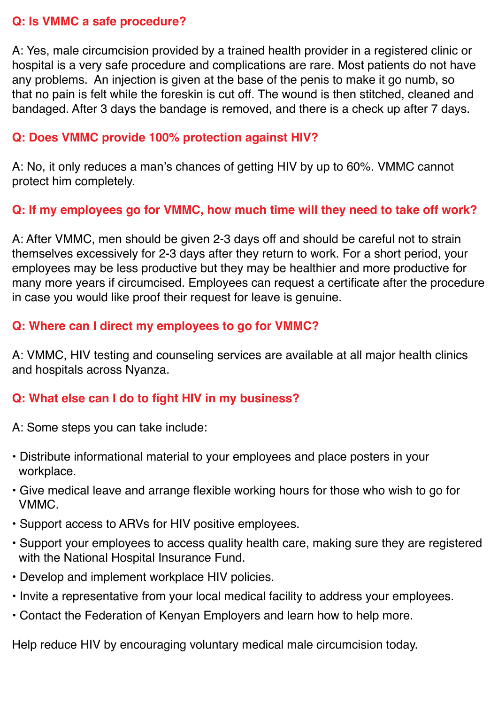#### **Q: Is VMMC a safe procedure?**

A: Yes, male circumcision provided by a trained health provider in a registered clinic or hospital is a very safe procedure and complications are rare. Most patients do not have any problems. An injection is given at the base of the penis to make it go numb, so that no pain is felt while the foreskin is cut off. The wound is then stitched, cleaned and bandaged. After 3 days the bandage is removed, and there is a check up after 7 days.

#### **Q: Does VMMC provide 100% protection against HIV?**

A: No, it only reduces a man's chances of getting HIV by up to 60%. VMMC cannot protect him completely.

### **Q: If my employees go for VMMC, how much time will they need to take off work?**

A: After VMMC, men should be given 2-3 days off and should be careful not to strain themselves excessively for 2-3 days after they return to work. For a short period, your employees may be less productive but they may be healthier and more productive for many more years if circumcised. Employees can request a certificate after the procedure in case you would like proof their request for leave is genuine.

### **Q: Where can I direct my employees to go for VMMC?**

A: VMMC, HIV testing and counseling services are available at all major health clinics and hospitals across Nyanza.

#### **Q: What else can I do to fight HIV in my business?**

A: Some steps you can take include:

- Distribute informational material to your employees and place posters in your workplace.
- Give medical leave and arrange flexible working hours for those who wish to go for VMMC.
- Support access to ARVs for HIV positive employees.
- Support your employees to access quality health care, making sure they are registered with the National Hospital Insurance Fund.
- Develop and implement workplace HIV policies.
- Invite a representative from your local medical facility to address your employees.
- Contact the Federation of Kenyan Employers and learn how to help more.

Help reduce HIV by encouraging voluntary medical male circumcision today.